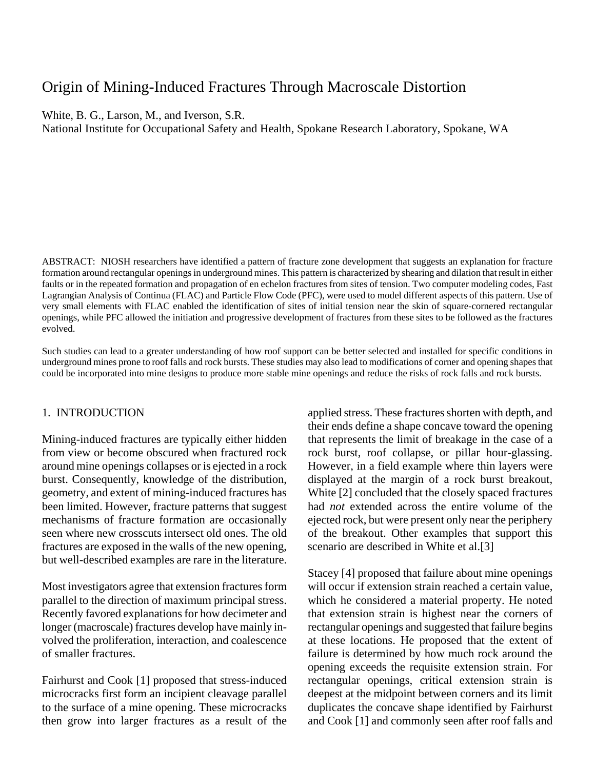# Origin of Mining-Induced Fractures Through Macroscale Distortion

White, B. G., Larson, M., and Iverson, S.R.

National Institute for Occupational Safety and Health, Spokane Research Laboratory, Spokane, WA

ABSTRACT: NIOSH researchers have identified a pattern of fracture zone development that suggests an explanation for fracture formation around rectangular openings in underground mines. This pattern is characterized by shearing and dilation that result in either faults or in the repeated formation and propagation of en echelon fractures from sites of tension. Two computer modeling codes, Fast Lagrangian Analysis of Continua (FLAC) and Particle Flow Code (PFC), were used to model different aspects of this pattern. Use of very small elements with FLAC enabled the identification of sites of initial tension near the skin of square-cornered rectangular openings, while PFC allowed the initiation and progressive development of fractures from these sites to be followed as the fractures evolved.

Such studies can lead to a greater understanding of how roof support can be better selected and installed for specific conditions in underground mines prone to roof falls and rock bursts. These studies may also lead to modifications of corner and opening shapes that could be incorporated into mine designs to produce more stable mine openings and reduce the risks of rock falls and rock bursts.

#### 1. INTRODUCTION

Mining-induced fractures are typically either hidden from view or become obscured when fractured rock around mine openings collapses or is ejected in a rock burst. Consequently, knowledge of the distribution, geometry, and extent of mining-induced fractures has been limited. However, fracture patterns that suggest mechanisms of fracture formation are occasionally seen where new crosscuts intersect old ones. The old fractures are exposed in the walls of the new opening, but well-described examples are rare in the literature.

Most investigators agree that extension fractures form parallel to the direction of maximum principal stress. Recently favored explanations for how decimeter and longer (macroscale) fractures develop have mainly involved the proliferation, interaction, and coalescence of smaller fractures.

Fairhurst and Cook [1] proposed that stress-induced microcracks first form an incipient cleavage parallel to the surface of a mine opening. These microcracks then grow into larger fractures as a result of the applied stress. These fractures shorten with depth, and their ends define a shape concave toward the opening that represents the limit of breakage in the case of a rock burst, roof collapse, or pillar hour-glassing. However, in a field example where thin layers were displayed at the margin of a rock burst breakout, White [2] concluded that the closely spaced fractures had *not* extended across the entire volume of the ejected rock, but were present only near the periphery of the breakout. Other examples that support this scenario are described in White et al.[3]

Stacey [4] proposed that failure about mine openings will occur if extension strain reached a certain value, which he considered a material property. He noted that extension strain is highest near the corners of rectangular openings and suggested that failure begins at these locations. He proposed that the extent of failure is determined by how much rock around the opening exceeds the requisite extension strain. For rectangular openings, critical extension strain is deepest at the midpoint between corners and its limit duplicates the concave shape identified by Fairhurst and Cook [1] and commonly seen after roof falls and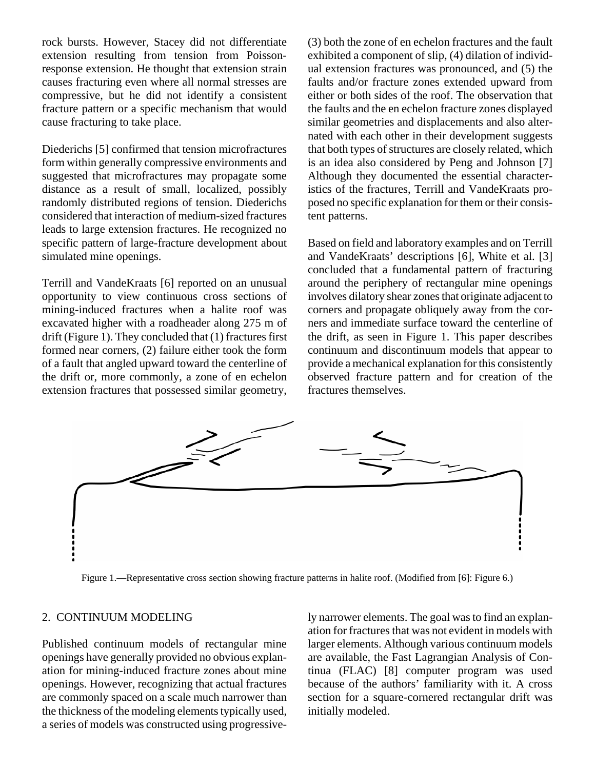rock bursts. However, Stacey did not differentiate extension resulting from tension from Poissonresponse extension. He thought that extension strain causes fracturing even where all normal stresses are compressive, but he did not identify a consistent fracture pattern or a specific mechanism that would cause fracturing to take place.

Diederichs [5] confirmed that tension microfractures form within generally compressive environments and suggested that microfractures may propagate some distance as a result of small, localized, possibly randomly distributed regions of tension. Diederichs considered that interaction of medium-sized fractures leads to large extension fractures. He recognized no specific pattern of large-fracture development about simulated mine openings.

Terrill and VandeKraats [6] reported on an unusual opportunity to view continuous cross sections of mining-induced fractures when a halite roof was excavated higher with a roadheader along 275 m of drift (Figure 1). They concluded that (1) fractures first formed near corners, (2) failure either took the form of a fault that angled upward toward the centerline of the drift or, more commonly, a zone of en echelon extension fractures that possessed similar geometry, (3) both the zone of en echelon fractures and the fault exhibited a component of slip, (4) dilation of individual extension fractures was pronounced, and (5) the faults and/or fracture zones extended upward from either or both sides of the roof. The observation that the faults and the en echelon fracture zones displayed similar geometries and displacements and also alternated with each other in their development suggests that both types of structures are closely related, which is an idea also considered by Peng and Johnson [7] Although they documented the essential characteristics of the fractures, Terrill and VandeKraats proposed no specific explanation for them or their consistent patterns.

Based on field and laboratory examples and on Terrill and VandeKraats' descriptions [6], White et al. [3] concluded that a fundamental pattern of fracturing around the periphery of rectangular mine openings involves dilatory shear zones that originate adjacent to corners and propagate obliquely away from the corners and immediate surface toward the centerline of the drift, as seen in Figure 1. This paper describes continuum and discontinuum models that appear to provide a mechanical explanation for this consistently observed fracture pattern and for creation of the fractures themselves.



Figure 1.—Representative cross section showing fracture patterns in halite roof. (Modified from [6]: Figure 6.)

## 2. CONTINUUM MODELING

Published continuum models of rectangular mine openings have generally provided no obvious explanation for mining-induced fracture zones about mine openings. However, recognizing that actual fractures are commonly spaced on a scale much narrower than the thickness of the modeling elements typically used, a series of models was constructed using progressively narrower elements. The goal was to find an explanation for fractures that was not evident in models with larger elements. Although various continuum models are available, the Fast Lagrangian Analysis of Continua (FLAC) [8] computer program was used because of the authors' familiarity with it. A cross section for a square-cornered rectangular drift was initially modeled.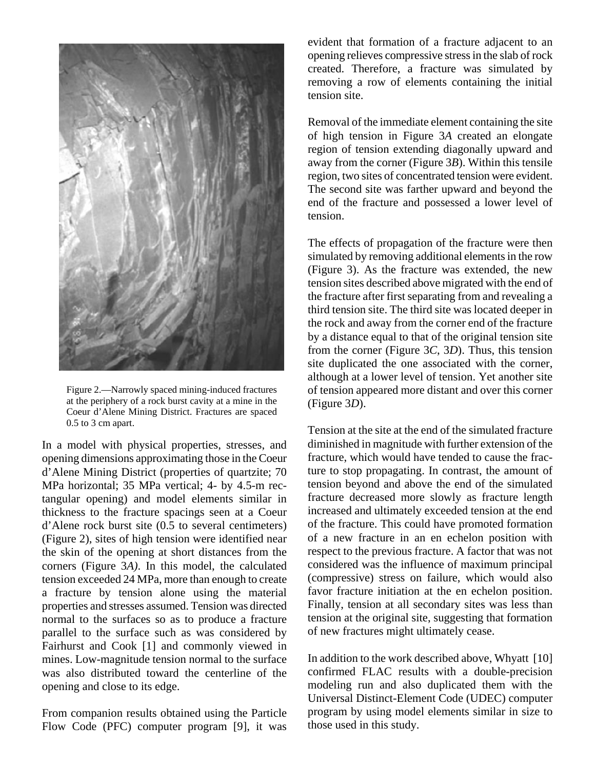

Figure 2.—Narrowly spaced mining-induced fractures at the periphery of a rock burst cavity at a mine in the Coeur d'Alene Mining District. Fractures are spaced 0.5 to 3 cm apart.

In a model with physical properties, stresses, and opening dimensions approximating those in the Coeur d'Alene Mining District (properties of quartzite; 70 MPa horizontal; 35 MPa vertical; 4- by 4.5-m rectangular opening) and model elements similar in thickness to the fracture spacings seen at a Coeur d'Alene rock burst site (0.5 to several centimeters) (Figure 2), sites of high tension were identified near the skin of the opening at short distances from the corners (Figure 3*A)*. In this model, the calculated tension exceeded 24 MPa, more than enough to create a fracture by tension alone using the material properties and stresses assumed. Tension was directed normal to the surfaces so as to produce a fracture parallel to the surface such as was considered by Fairhurst and Cook [1] and commonly viewed in mines. Low-magnitude tension normal to the surface was also distributed toward the centerline of the opening and close to its edge.

From companion results obtained using the Particle Flow Code (PFC) computer program [9], it was evident that formation of a fracture adjacent to an opening relieves compressive stress in the slab of rock created. Therefore, a fracture was simulated by removing a row of elements containing the initial tension site.

Removal of the immediate element containing the site of high tension in Figure 3*A* created an elongate region of tension extending diagonally upward and away from the corner (Figure 3*B*). Within this tensile region, two sites of concentrated tension were evident. The second site was farther upward and beyond the end of the fracture and possessed a lower level of tension.

The effects of propagation of the fracture were then simulated by removing additional elements in the row (Figure 3). As the fracture was extended, the new tension sites described above migrated with the end of the fracture after first separating from and revealing a third tension site. The third site was located deeper in the rock and away from the corner end of the fracture by a distance equal to that of the original tension site from the corner (Figure 3*C*, 3*D*). Thus, this tension site duplicated the one associated with the corner, although at a lower level of tension. Yet another site of tension appeared more distant and over this corner (Figure 3*D*).

Tension at the site at the end of the simulated fracture diminished in magnitude with further extension of the fracture, which would have tended to cause the fracture to stop propagating. In contrast, the amount of tension beyond and above the end of the simulated fracture decreased more slowly as fracture length increased and ultimately exceeded tension at the end of the fracture. This could have promoted formation of a new fracture in an en echelon position with respect to the previous fracture. A factor that was not considered was the influence of maximum principal (compressive) stress on failure, which would also favor fracture initiation at the en echelon position. Finally, tension at all secondary sites was less than tension at the original site, suggesting that formation of new fractures might ultimately cease.

In addition to the work described above, Whyatt [10] confirmed FLAC results with a double-precision modeling run and also duplicated them with the Universal Distinct-Element Code (UDEC) computer program by using model elements similar in size to those used in this study.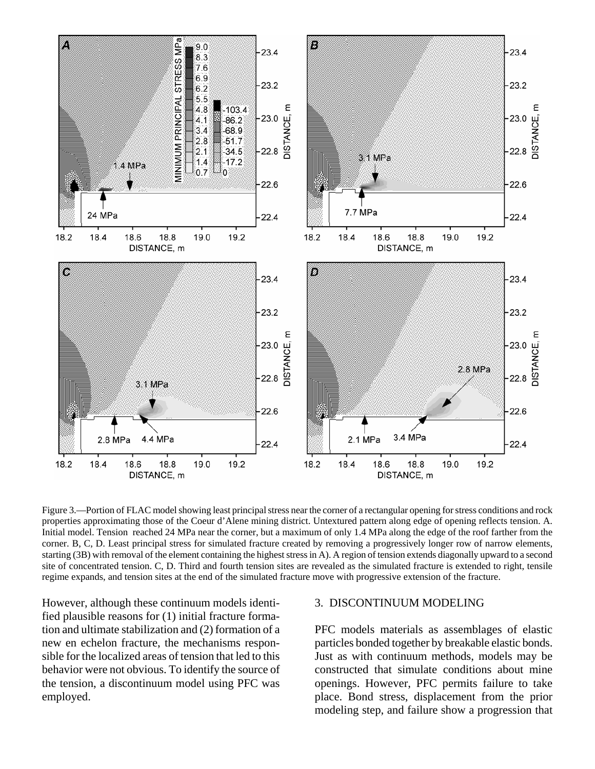

Figure 3.—Portion of FLAC model showing least principalstress near the corner of a rectangular opening for stress conditions and rock properties approximating those of the Coeur d'Alene mining district. Untextured pattern along edge of opening reflects tension. A. Initial model. Tension reached 24 MPa near the corner, but a maximum of only 1.4 MPa along the edge of the roof farther from the corner. B, C, D. Least principal stress for simulated fracture created by removing a progressively longer row of narrow elements, starting (3B) with removal of the element containing the highest stress in A). A region of tension extends diagonally upward to a second site of concentrated tension. C, D. Third and fourth tension sites are revealed as the simulated fracture is extended to right, tensile regime expands, and tension sites at the end of the simulated fracture move with progressive extension of the fracture.

However, although these continuum models identified plausible reasons for (1) initial fracture formation and ultimate stabilization and (2) formation of a new en echelon fracture, the mechanisms responsible for the localized areas of tension that led to this behavior were not obvious. To identify the source of the tension, a discontinuum model using PFC was employed.

#### 3. DISCONTINUUM MODELING

PFC models materials as assemblages of elastic particles bonded together by breakable elastic bonds. Just as with continuum methods, models may be constructed that simulate conditions about mine openings. However, PFC permits failure to take place. Bond stress, displacement from the prior modeling step, and failure show a progression that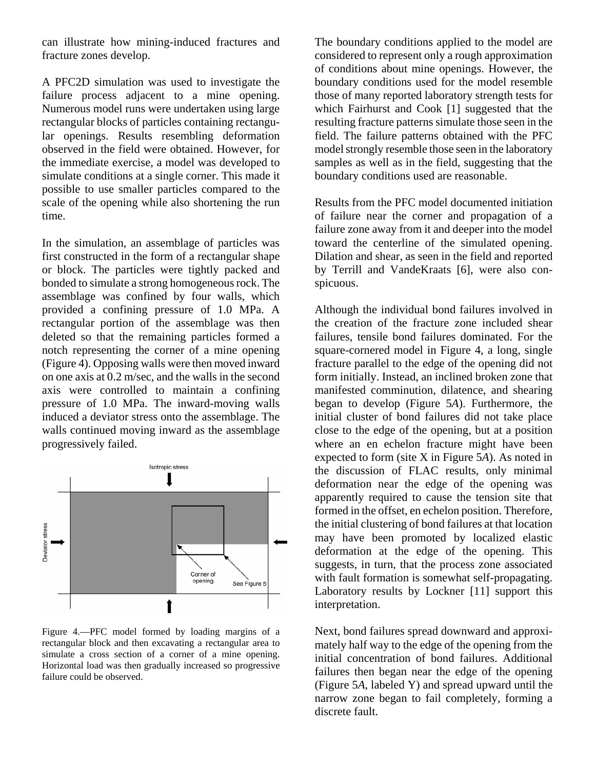can illustrate how mining-induced fractures and fracture zones develop.

A PFC2D simulation was used to investigate the failure process adjacent to a mine opening. Numerous model runs were undertaken using large rectangular blocks of particles containing rectangular openings. Results resembling deformation observed in the field were obtained. However, for the immediate exercise, a model was developed to simulate conditions at a single corner. This made it possible to use smaller particles compared to the scale of the opening while also shortening the run time.

In the simulation, an assemblage of particles was first constructed in the form of a rectangular shape or block. The particles were tightly packed and bonded to simulate a strong homogeneous rock. The assemblage was confined by four walls, which provided a confining pressure of 1.0 MPa. A rectangular portion of the assemblage was then deleted so that the remaining particles formed a notch representing the corner of a mine opening (Figure 4). Opposing walls were then moved inward on one axis at 0.2 m/sec, and the walls in the second axis were controlled to maintain a confining pressure of 1.0 MPa. The inward-moving walls induced a deviator stress onto the assemblage. The walls continued moving inward as the assemblage progressively failed.



Figure 4.—PFC model formed by loading margins of a rectangular block and then excavating a rectangular area to simulate a cross section of a corner of a mine opening. Horizontal load was then gradually increased so progressive failure could be observed.

The boundary conditions applied to the model are considered to represent only a rough approximation of conditions about mine openings. However, the boundary conditions used for the model resemble those of many reported laboratory strength tests for which Fairhurst and Cook [1] suggested that the resulting fracture patterns simulate those seen in the field. The failure patterns obtained with the PFC model strongly resemble those seen in the laboratory samples as well as in the field, suggesting that the boundary conditions used are reasonable.

Results from the PFC model documented initiation of failure near the corner and propagation of a failure zone away from it and deeper into the model toward the centerline of the simulated opening. Dilation and shear, as seen in the field and reported by Terrill and VandeKraats [6], were also conspicuous.

Although the individual bond failures involved in the creation of the fracture zone included shear failures, tensile bond failures dominated. For the square-cornered model in Figure 4, a long, single fracture parallel to the edge of the opening did not form initially. Instead, an inclined broken zone that manifested comminution, dilatence, and shearing began to develop (Figure 5*A*). Furthermore, the initial cluster of bond failures did not take place close to the edge of the opening, but at a position where an en echelon fracture might have been expected to form (site X in Figure 5*A*). As noted in the discussion of FLAC results, only minimal deformation near the edge of the opening was apparently required to cause the tension site that formed in the offset, en echelon position. Therefore, the initial clustering of bond failures at that location may have been promoted by localized elastic deformation at the edge of the opening. This suggests, in turn, that the process zone associated with fault formation is somewhat self-propagating. Laboratory results by Lockner [11] support this interpretation.

Next, bond failures spread downward and approximately half way to the edge of the opening from the initial concentration of bond failures. Additional failures then began near the edge of the opening (Figure 5*A*, labeled Y) and spread upward until the narrow zone began to fail completely, forming a discrete fault.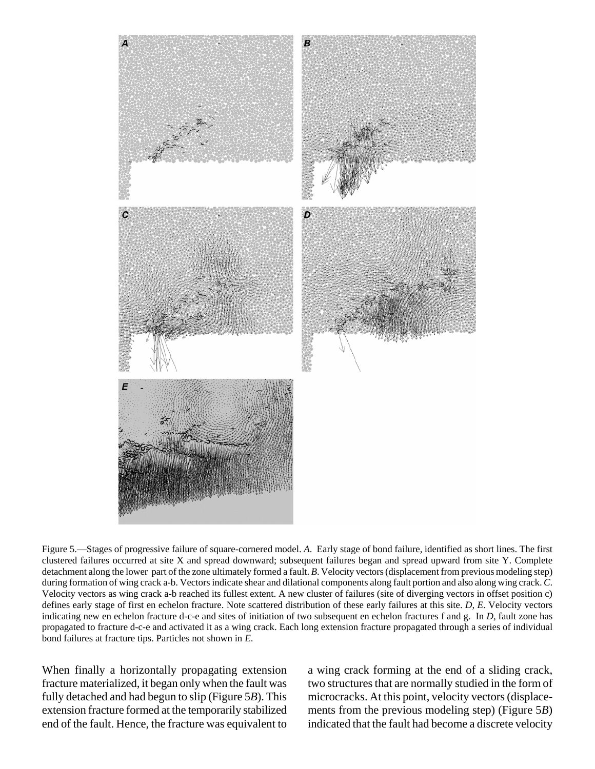

Figure 5.—Stages of progressive failure of square-cornered model. *A*. Early stage of bond failure, identified as short lines. The first clustered failures occurred at site X and spread downward; subsequent failures began and spread upward from site Y. Complete detachment along the lower part of the zone ultimately formed a fault. *B*. Velocity vectors (displacement from previous modeling step) during formation of wing crack a-b. Vectors indicate shear and dilational components along fault portion and also along wing crack. *C*. Velocity vectors as wing crack a-b reached its fullest extent. A new cluster of failures (site of diverging vectors in offset position c) defines early stage of first en echelon fracture. Note scattered distribution of these early failures at this site. *D, E*. Velocity vectors indicating new en echelon fracture d-c-e and sites of initiation of two subsequent en echelon fractures f and g. In *D*, fault zone has propagated to fracture d-c-e and activated it as a wing crack. Each long extension fracture propagated through a series of individual bond failures at fracture tips. Particles not shown in *E*.

When finally a horizontally propagating extension fracture materialized, it began only when the fault was fully detached and had begun to slip (Figure 5*B*). This extension fracture formed at the temporarily stabilized end of the fault. Hence, the fracture was equivalent to a wing crack forming at the end of a sliding crack, two structures that are normally studied in the form of microcracks. At this point, velocity vectors (displacements from the previous modeling step) (Figure 5*B*) indicated that the fault had become a discrete velocity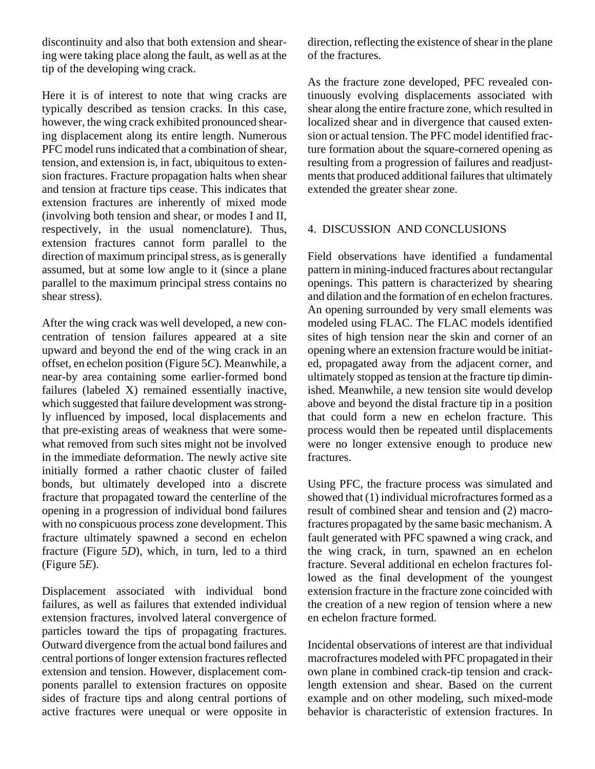discontinuity and also that both extension and shearing were taking place along the fault, as well as at the tip of the developing wing crack.

Here it is of interest to note that wing cracks are typically described as tension cracks. In this case, however, the wing crack exhibited pronounced shearing displacement along its entire length. Numerous PFC model runs indicated that a combination of shear, tension, and extension is, in fact, ubiquitous to extension fractures. Fracture propagation halts when shear and tension at fracture tips cease. This indicates that extension fractures are inherently of mixed mode (involving both tension and shear, or modes I and II, respectively, in the usual nomenclature). Thus, extension fractures cannot form parallel to the direction of maximum principal stress, as is generally assumed, but at some low angle to it (since a plane parallel to the maximum principal stress contains no shear stress).

After the wing crack was well developed, a new concentration of tension failures appeared at a site upward and beyond the end of the wing crack in an offset, en echelon position (Figure 5*C*). Meanwhile, a near-by area containing some earlier-formed bond failures (labeled X) remained essentially inactive, which suggested that failure development was strongly influenced by imposed, local displacements and that pre-existing areas of weakness that were somewhat removed from such sites might not be involved in the immediate deformation. The newly active site initially formed a rather chaotic cluster of failed bonds, but ultimately developed into a discrete fracture that propagated toward the centerline of the opening in a progression of individual bond failures with no conspicuous process zone development. This fracture ultimately spawned a second en echelon fracture (Figure 5*D*), which, in turn, led to a third (Figure 5*E*).

Displacement associated with individual bond failures, as well as failures that extended individual extension fractures, involved lateral convergence of particles toward the tips of propagating fractures. Outward divergence from the actual bond failures and central portions of longer extension fractures reflected extension and tension. However, displacement components parallel to extension fractures on opposite sides of fracture tips and along central portions of active fractures were unequal or were opposite in direction, reflecting the existence of shear in the plane of the fractures.

As the fracture zone developed, PFC revealed continuously evolving displacements associated with shear along the entire fracture zone, which resulted in localized shear and in divergence that caused extension or actual tension. The PFC model identified fracture formation about the square-cornered opening as resulting from a progression of failures and readjustments that produced additional failures that ultimately extended the greater shear zone.

## 4. DISCUSSION AND CONCLUSIONS

Field observations have identified a fundamental pattern in mining-induced fractures about rectangular openings. This pattern is characterized by shearing and dilation and the formation of en echelon fractures. An opening surrounded by very small elements was modeled using FLAC. The FLAC models identified sites of high tension near the skin and corner of an opening where an extension fracture would be initiated, propagated away from the adjacent corner, and ultimately stopped as tension at the fracture tip diminished. Meanwhile, a new tension site would develop above and beyond the distal fracture tip in a position that could form a new en echelon fracture. This process would then be repeated until displacements were no longer extensive enough to produce new fractures.

Using PFC, the fracture process was simulated and showed that (1) individual microfractures formed as a result of combined shear and tension and (2) macrofractures propagated by the same basic mechanism. A fault generated with PFC spawned a wing crack, and the wing crack, in turn, spawned an en echelon fracture. Several additional en echelon fractures followed as the final development of the youngest extension fracture in the fracture zone coincided with the creation of a new region of tension where a new en echelon fracture formed.

Incidental observations of interest are that individual macrofractures modeled with PFC propagated in their own plane in combined crack-tip tension and cracklength extension and shear. Based on the current example and on other modeling, such mixed-mode behavior is characteristic of extension fractures. In